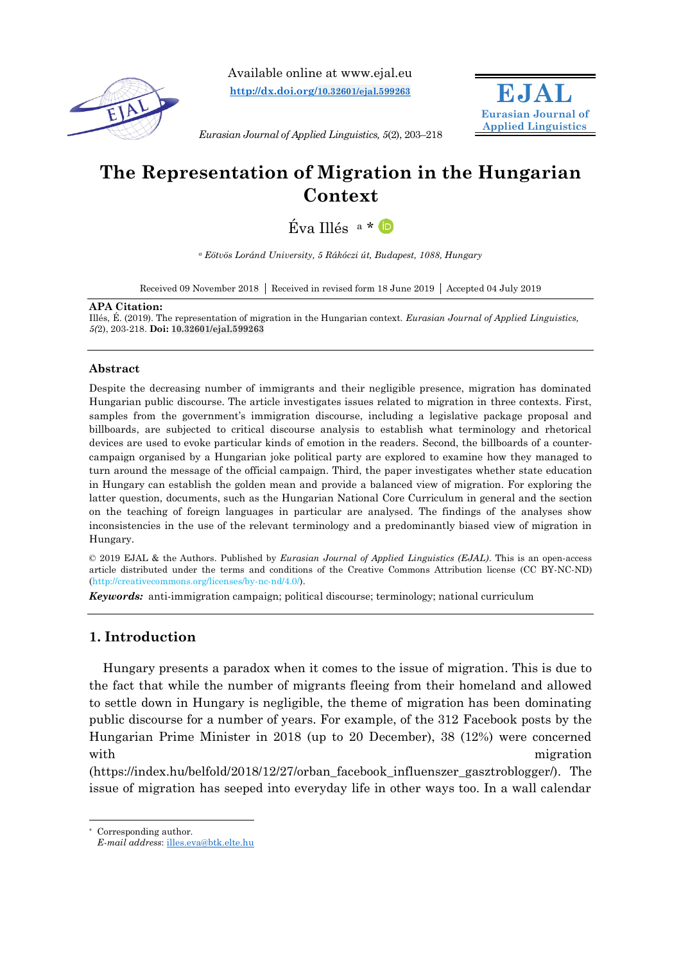

Available online at www.ejal.eu **[http://dx.doi.org/](http://dx.doi.org/10.32601/ejal.599263)10.32601/ejal.599263**



*Eurasian Journal of Applied Linguistics, 5*(2), 203–218

# **The Representation of Migration in the Hungarian Context**

Éva Illés <sup>a</sup> \*

*<sup>a</sup> Eötvös Loránd University, 5 Rákóczi út, Budapest, 1088, Hungary*

Received 09 November 2018 Received in revised form 18 June 2019 Accepted 04 July 2019

#### **APA Citation:**

Illés, É. (2019). The representation of migration in the Hungarian context. *Eurasian Journal of Applied Linguistics, 5(*2), 203-218. **Doi: 10.32601/ejal.599263**

### **Abstract**

Despite the decreasing number of immigrants and their negligible presence, migration has dominated Hungarian public discourse. The article investigates issues related to migration in three contexts. First, samples from the government's immigration discourse, including a legislative package proposal and billboards, are subjected to critical discourse analysis to establish what terminology and rhetorical devices are used to evoke particular kinds of emotion in the readers. Second, the billboards of a countercampaign organised by a Hungarian joke political party are explored to examine how they managed to turn around the message of the official campaign. Third, the paper investigates whether state education in Hungary can establish the golden mean and provide a balanced view of migration. For exploring the latter question, documents, such as the Hungarian National Core Curriculum in general and the section on the teaching of foreign languages in particular are analysed. The findings of the analyses show inconsistencies in the use of the relevant terminology and a predominantly biased view of migration in Hungary.

© 2019 EJAL & the Authors. Published by *Eurasian Journal of Applied Linguistics (EJAL)*. This is an open-access article distributed under the terms and conditions of the Creative Commons Attribution license (CC BY-NC-ND) (http://creativecommons.org/licenses/by-nc-nd/4.0/).

*Keywords:* anti-immigration campaign; political discourse; terminology; national curriculum

## **1. Introduction**

Hungary presents a paradox when it comes to the issue of migration. This is due to the fact that while the number of migrants fleeing from their homeland and allowed to settle down in Hungary is negligible, the theme of migration has been dominating public discourse for a number of years. For example, of the 312 Facebook posts by the Hungarian Prime Minister in 2018 (up to 20 December), 38 (12%) were concerned with migration  $\mathbf{m}$  migration

(https://index.hu/belfold/2018/12/27/orban\_facebook\_influenszer\_gasztroblogger/). The issue of migration has seeped into everyday life in other ways too. In a wall calendar

Corresponding author.

 $\overline{a}$ 

*E-mail address*: [illes.eva@btk.elte.hu](mailto:illes.eva@btk.elte.hu)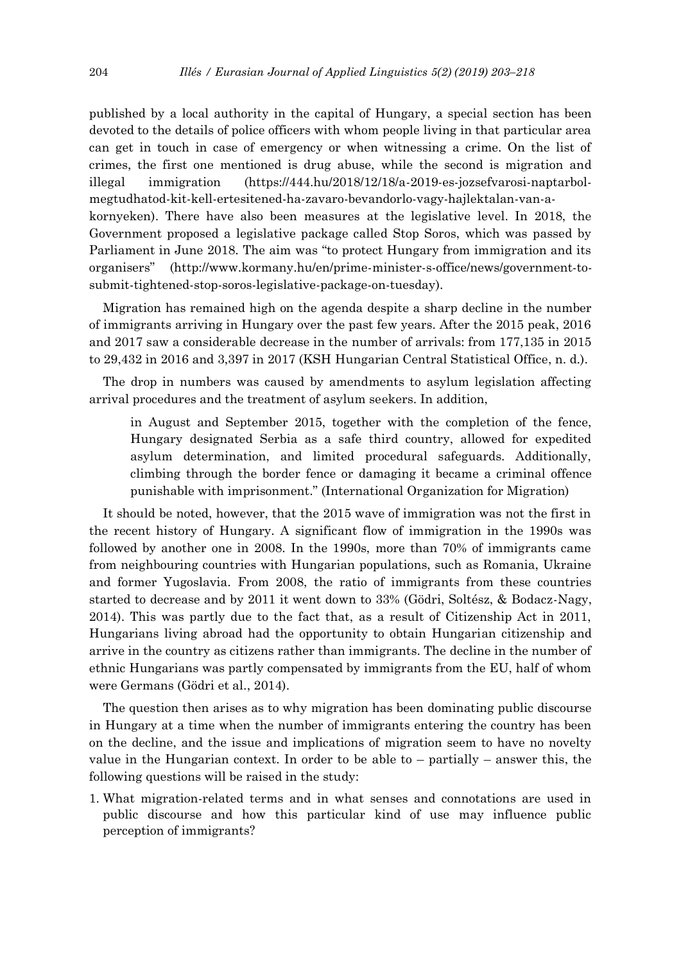published by a local authority in the capital of Hungary, a special section has been devoted to the details of police officers with whom people living in that particular area can get in touch in case of emergency or when witnessing a crime. On the list of crimes, the first one mentioned is drug abuse, while the second is migration and illegal immigration (https://444.hu/2018/12/18/a-2019-es-jozsefvarosi-naptarbolmegtudhatod-kit-kell-ertesitened-ha-zavaro-bevandorlo-vagy-hajlektalan-van-akornyeken). There have also been measures at the legislative level. In 2018, the Government proposed a legislative package called Stop Soros, which was passed by Parliament in June 2018. The aim was "to protect Hungary from immigration and its organisers" (http://www.kormany.hu/en/prime-minister-s-office/news/government-to-

Migration has remained high on the agenda despite a sharp decline in the number of immigrants arriving in Hungary over the past few years. After the 2015 peak, 2016 and 2017 saw a considerable decrease in the number of arrivals: from 177,135 in 2015 to 29,432 in 2016 and 3,397 in 2017 (KSH Hungarian Central Statistical Office, n. d.).

submit-tightened-stop-soros-legislative-package-on-tuesday).

The drop in numbers was caused by amendments to asylum legislation affecting arrival procedures and the treatment of asylum seekers. In addition,

in August and September 2015, together with the completion of the fence, Hungary designated Serbia as a safe third country, allowed for expedited asylum determination, and limited procedural safeguards. Additionally, climbing through the border fence or damaging it became a criminal offence punishable with imprisonment." (International Organization for Migration)

It should be noted, however, that the 2015 wave of immigration was not the first in the recent history of Hungary. A significant flow of immigration in the 1990s was followed by another one in 2008. In the 1990s, more than 70% of immigrants came from neighbouring countries with Hungarian populations, such as Romania, Ukraine and former Yugoslavia. From 2008, the ratio of immigrants from these countries started to decrease and by 2011 it went down to 33% (Gödri, Soltész, & Bodacz-Nagy, 2014). This was partly due to the fact that, as a result of Citizenship Act in 2011, Hungarians living abroad had the opportunity to obtain Hungarian citizenship and arrive in the country as citizens rather than immigrants. The decline in the number of ethnic Hungarians was partly compensated by immigrants from the EU, half of whom were Germans (Gödri et al., 2014).

The question then arises as to why migration has been dominating public discourse in Hungary at a time when the number of immigrants entering the country has been on the decline, and the issue and implications of migration seem to have no novelty value in the Hungarian context. In order to be able to  $-$  partially  $-$  answer this, the following questions will be raised in the study:

1. What migration-related terms and in what senses and connotations are used in public discourse and how this particular kind of use may influence public perception of immigrants?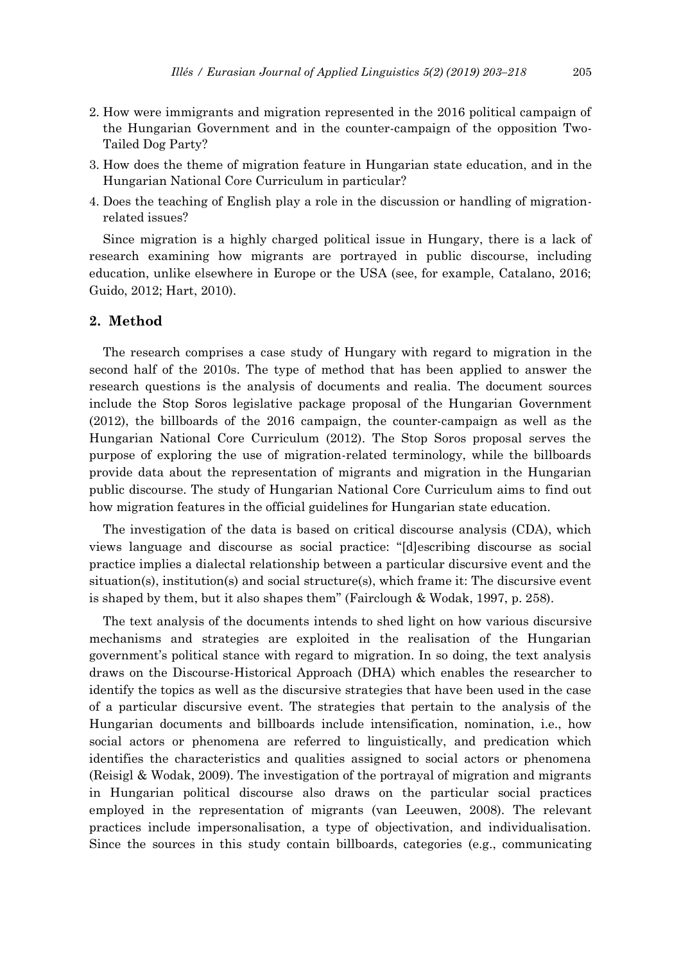- 2. How were immigrants and migration represented in the 2016 political campaign of the Hungarian Government and in the counter-campaign of the opposition Two-Tailed Dog Party?
- 3. How does the theme of migration feature in Hungarian state education, and in the Hungarian National Core Curriculum in particular?
- 4. Does the teaching of English play a role in the discussion or handling of migrationrelated issues?

Since migration is a highly charged political issue in Hungary, there is a lack of research examining how migrants are portrayed in public discourse, including education, unlike elsewhere in Europe or the USA (see, for example, Catalano, 2016; Guido, 2012; Hart, 2010).

### **2. Method**

The research comprises a case study of Hungary with regard to migration in the second half of the 2010s. The type of method that has been applied to answer the research questions is the analysis of documents and realia. The document sources include the Stop Soros legislative package proposal of the Hungarian Government (2012), the billboards of the 2016 campaign, the counter-campaign as well as the Hungarian National Core Curriculum (2012). The Stop Soros proposal serves the purpose of exploring the use of migration-related terminology, while the billboards provide data about the representation of migrants and migration in the Hungarian public discourse. The study of Hungarian National Core Curriculum aims to find out how migration features in the official guidelines for Hungarian state education.

The investigation of the data is based on critical discourse analysis (CDA), which views language and discourse as social practice: "[d]escribing discourse as social practice implies a dialectal relationship between a particular discursive event and the situation(s), institution(s) and social structure(s), which frame it: The discursive event is shaped by them, but it also shapes them" (Fairclough & Wodak, 1997, p. 258).

The text analysis of the documents intends to shed light on how various discursive mechanisms and strategies are exploited in the realisation of the Hungarian government's political stance with regard to migration. In so doing, the text analysis draws on the Discourse-Historical Approach (DHA) which enables the researcher to identify the topics as well as the discursive strategies that have been used in the case of a particular discursive event. The strategies that pertain to the analysis of the Hungarian documents and billboards include intensification, nomination, i.e., how social actors or phenomena are referred to linguistically, and predication which identifies the characteristics and qualities assigned to social actors or phenomena (Reisigl & Wodak, 2009). The investigation of the portrayal of migration and migrants in Hungarian political discourse also draws on the particular social practices employed in the representation of migrants (van Leeuwen, 2008). The relevant practices include impersonalisation, a type of objectivation, and individualisation. Since the sources in this study contain billboards, categories (e.g., communicating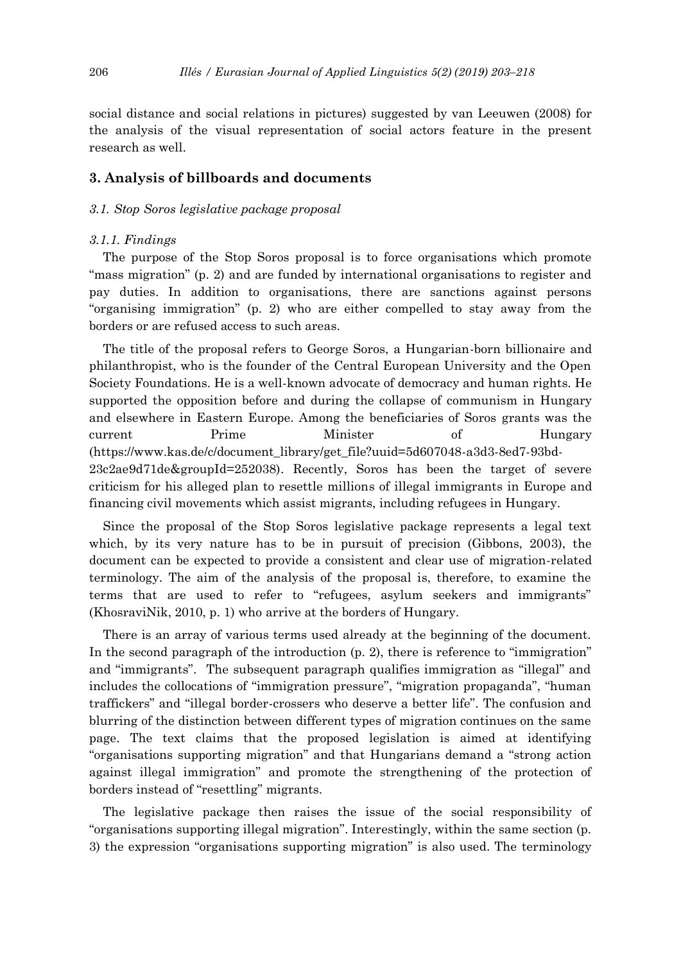social distance and social relations in pictures) suggested by van Leeuwen (2008) for the analysis of the visual representation of social actors feature in the present research as well.

### **3. Analysis of billboards and documents**

#### *3.1. Stop Soros legislative package proposal*

#### *3.1.1. Findings*

The purpose of the Stop Soros proposal is to force organisations which promote "mass migration" (p. 2) and are funded by international organisations to register and pay duties. In addition to organisations, there are sanctions against persons "organising immigration" (p. 2) who are either compelled to stay away from the borders or are refused access to such areas.

The title of the proposal refers to George Soros, a Hungarian-born billionaire and philanthropist, who is the founder of the Central European University and the Open Society Foundations. He is a well-known advocate of democracy and human rights. He supported the opposition before and during the collapse of communism in Hungary and elsewhere in Eastern Europe. Among the beneficiaries of Soros grants was the current Prime Minister of Hungary (https://www.kas.de/c/document\_library/get\_file?uuid=5d607048-a3d3-8ed7-93bd-23c2ae9d71de&groupId=252038). Recently, Soros has been the target of severe criticism for his alleged plan to resettle millions of illegal immigrants in Europe and financing civil movements which assist migrants, including refugees in Hungary.

Since the proposal of the Stop Soros legislative package represents a legal text which, by its very nature has to be in pursuit of precision (Gibbons, 2003), the document can be expected to provide a consistent and clear use of migration-related terminology. The aim of the analysis of the proposal is, therefore, to examine the terms that are used to refer to "refugees, asylum seekers and immigrants" (KhosraviNik, 2010, p. 1) who arrive at the borders of Hungary.

There is an array of various terms used already at the beginning of the document. In the second paragraph of the introduction (p. 2), there is reference to "immigration" and "immigrants". The subsequent paragraph qualifies immigration as "illegal" and includes the collocations of "immigration pressure", "migration propaganda", "human traffickers" and "illegal border-crossers who deserve a better life". The confusion and blurring of the distinction between different types of migration continues on the same page. The text claims that the proposed legislation is aimed at identifying "organisations supporting migration" and that Hungarians demand a "strong action against illegal immigration" and promote the strengthening of the protection of borders instead of "resettling" migrants.

The legislative package then raises the issue of the social responsibility of "organisations supporting illegal migration". Interestingly, within the same section (p. 3) the expression "organisations supporting migration" is also used. The terminology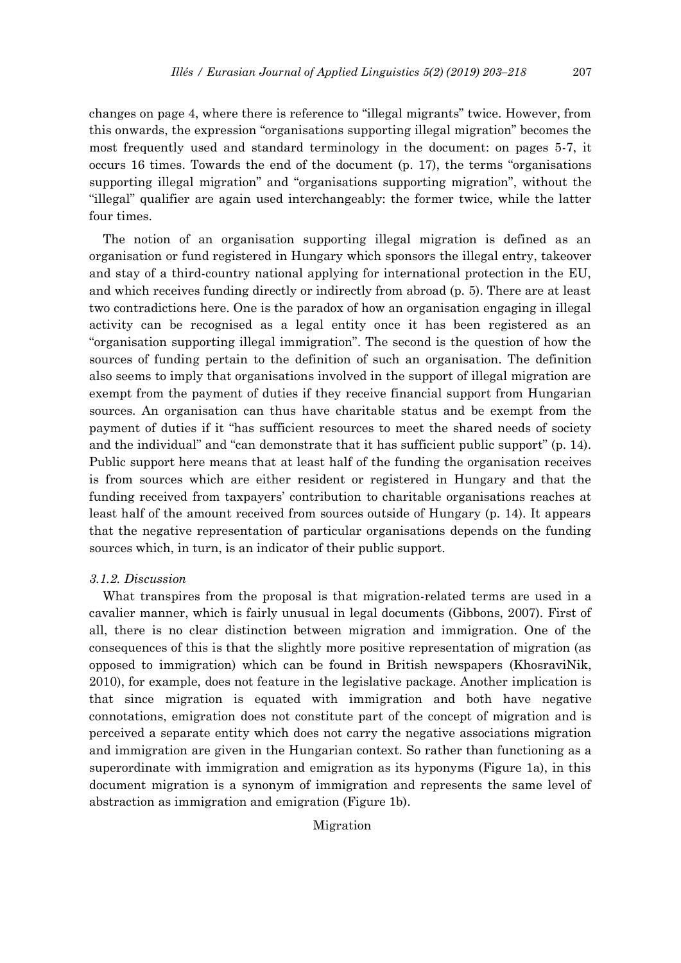changes on page 4, where there is reference to "illegal migrants" twice. However, from this onwards, the expression "organisations supporting illegal migration" becomes the most frequently used and standard terminology in the document: on pages 5-7, it occurs 16 times. Towards the end of the document (p. 17), the terms "organisations supporting illegal migration" and "organisations supporting migration", without the "illegal" qualifier are again used interchangeably: the former twice, while the latter four times.

The notion of an organisation supporting illegal migration is defined as an organisation or fund registered in Hungary which sponsors the illegal entry, takeover and stay of a third-country national applying for international protection in the EU, and which receives funding directly or indirectly from abroad (p. 5). There are at least two contradictions here. One is the paradox of how an organisation engaging in illegal activity can be recognised as a legal entity once it has been registered as an "organisation supporting illegal immigration". The second is the question of how the sources of funding pertain to the definition of such an organisation. The definition also seems to imply that organisations involved in the support of illegal migration are exempt from the payment of duties if they receive financial support from Hungarian sources. An organisation can thus have charitable status and be exempt from the payment of duties if it "has sufficient resources to meet the shared needs of society and the individual" and "can demonstrate that it has sufficient public support" (p. 14). Public support here means that at least half of the funding the organisation receives is from sources which are either resident or registered in Hungary and that the funding received from taxpayers' contribution to charitable organisations reaches at least half of the amount received from sources outside of Hungary (p. 14). It appears that the negative representation of particular organisations depends on the funding sources which, in turn, is an indicator of their public support.

### *3.1.2. Discussion*

What transpires from the proposal is that migration-related terms are used in a cavalier manner, which is fairly unusual in legal documents (Gibbons, 2007). First of all, there is no clear distinction between migration and immigration. One of the consequences of this is that the slightly more positive representation of migration (as opposed to immigration) which can be found in British newspapers (KhosraviNik, 2010), for example, does not feature in the legislative package. Another implication is that since migration is equated with immigration and both have negative connotations, emigration does not constitute part of the concept of migration and is perceived a separate entity which does not carry the negative associations migration and immigration are given in the Hungarian context. So rather than functioning as a superordinate with immigration and emigration as its hyponyms (Figure 1a), in this document migration is a synonym of immigration and represents the same level of abstraction as immigration and emigration (Figure 1b).

Migration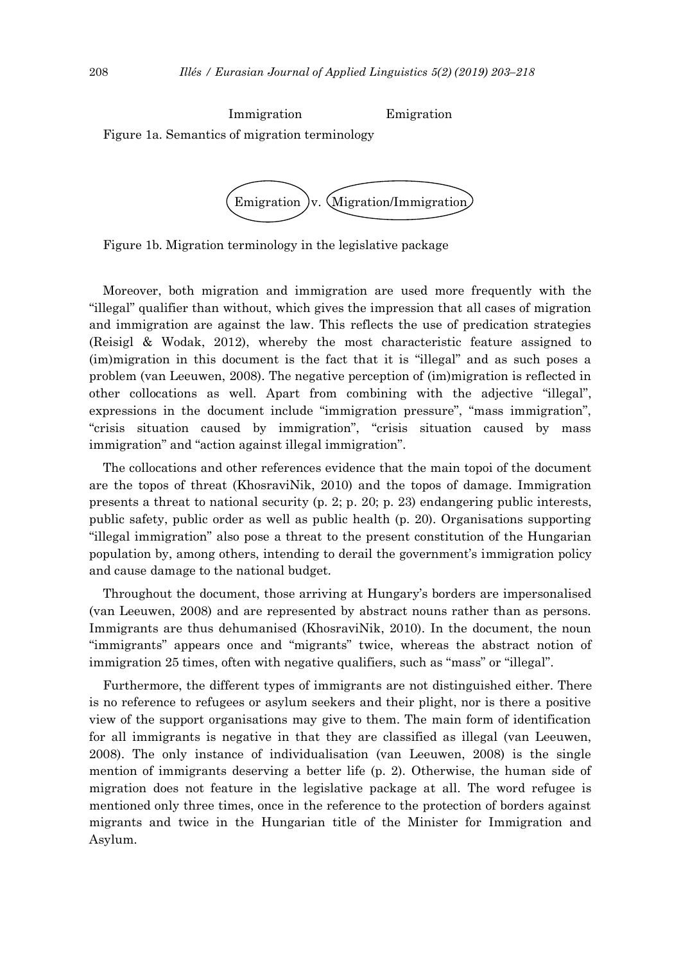Immigration Emigration Figure 1a. Semantics of migration terminology



Figure 1b. Migration terminology in the legislative package

Moreover, both migration and immigration are used more frequently with the "illegal" qualifier than without, which gives the impression that all cases of migration and immigration are against the law. This reflects the use of predication strategies (Reisigl & Wodak, 2012), whereby the most characteristic feature assigned to (im)migration in this document is the fact that it is "illegal" and as such poses a problem (van Leeuwen, 2008). The negative perception of (im)migration is reflected in other collocations as well. Apart from combining with the adjective "illegal", expressions in the document include "immigration pressure", "mass immigration", "crisis situation caused by immigration", "crisis situation caused by mass immigration" and "action against illegal immigration".

The collocations and other references evidence that the main topoi of the document are the topos of threat (KhosraviNik, 2010) and the topos of damage. Immigration presents a threat to national security (p. 2; p. 20; p. 23) endangering public interests, public safety, public order as well as public health (p. 20). Organisations supporting "illegal immigration" also pose a threat to the present constitution of the Hungarian population by, among others, intending to derail the government's immigration policy and cause damage to the national budget.

Throughout the document, those arriving at Hungary's borders are impersonalised (van Leeuwen, 2008) and are represented by abstract nouns rather than as persons. Immigrants are thus dehumanised (KhosraviNik, 2010). In the document, the noun "immigrants" appears once and "migrants" twice, whereas the abstract notion of immigration 25 times, often with negative qualifiers, such as "mass" or "illegal".

Furthermore, the different types of immigrants are not distinguished either. There is no reference to refugees or asylum seekers and their plight, nor is there a positive view of the support organisations may give to them. The main form of identification for all immigrants is negative in that they are classified as illegal (van Leeuwen, 2008). The only instance of individualisation (van Leeuwen, 2008) is the single mention of immigrants deserving a better life (p. 2). Otherwise, the human side of migration does not feature in the legislative package at all. The word refugee is mentioned only three times, once in the reference to the protection of borders against migrants and twice in the Hungarian title of the Minister for Immigration and Asylum.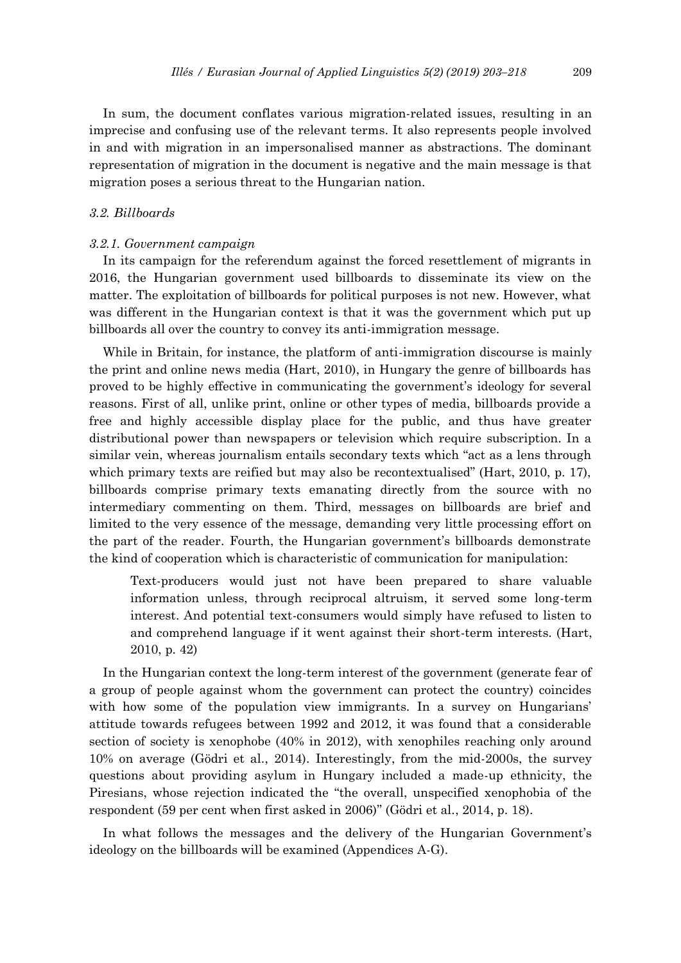In sum, the document conflates various migration-related issues, resulting in an imprecise and confusing use of the relevant terms. It also represents people involved in and with migration in an impersonalised manner as abstractions. The dominant representation of migration in the document is negative and the main message is that migration poses a serious threat to the Hungarian nation.

### *3.2. Billboards*

### *3.2.1. Government campaign*

In its campaign for the referendum against the forced resettlement of migrants in 2016, the Hungarian government used billboards to disseminate its view on the matter. The exploitation of billboards for political purposes is not new. However, what was different in the Hungarian context is that it was the government which put up billboards all over the country to convey its anti-immigration message.

While in Britain, for instance, the platform of anti-immigration discourse is mainly the print and online news media (Hart, 2010), in Hungary the genre of billboards has proved to be highly effective in communicating the government's ideology for several reasons. First of all, unlike print, online or other types of media, billboards provide a free and highly accessible display place for the public, and thus have greater distributional power than newspapers or television which require subscription. In a similar vein, whereas journalism entails secondary texts which "act as a lens through which primary texts are reified but may also be recontextualised" (Hart, 2010, p. 17), billboards comprise primary texts emanating directly from the source with no intermediary commenting on them. Third, messages on billboards are brief and limited to the very essence of the message, demanding very little processing effort on the part of the reader. Fourth, the Hungarian government's billboards demonstrate the kind of cooperation which is characteristic of communication for manipulation:

Text-producers would just not have been prepared to share valuable information unless, through reciprocal altruism, it served some long-term interest. And potential text-consumers would simply have refused to listen to and comprehend language if it went against their short-term interests. (Hart, 2010, p. 42)

In the Hungarian context the long-term interest of the government (generate fear of a group of people against whom the government can protect the country) coincides with how some of the population view immigrants. In a survey on Hungarians' attitude towards refugees between 1992 and 2012, it was found that a considerable section of society is xenophobe (40% in 2012), with xenophiles reaching only around 10% on average (Gödri et al., 2014). Interestingly, from the mid-2000s, the survey questions about providing asylum in Hungary included a made-up ethnicity, the Piresians, whose rejection indicated the "the overall, unspecified xenophobia of the respondent (59 per cent when first asked in 2006)" (Gödri et al., 2014, p. 18).

In what follows the messages and the delivery of the Hungarian Government's ideology on the billboards will be examined (Appendices A-G).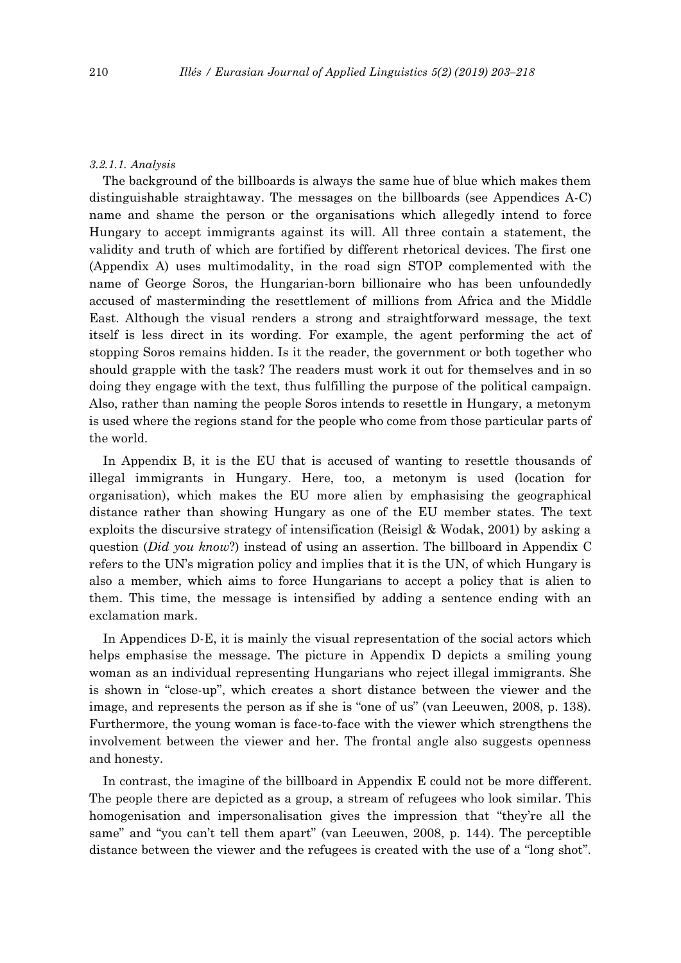#### *3.2.1.1. Analysis*

The background of the billboards is always the same hue of blue which makes them distinguishable straightaway. The messages on the billboards (see Appendices A-C) name and shame the person or the organisations which allegedly intend to force Hungary to accept immigrants against its will. All three contain a statement, the validity and truth of which are fortified by different rhetorical devices. The first one (Appendix A) uses multimodality, in the road sign STOP complemented with the name of George Soros, the Hungarian-born billionaire who has been unfoundedly accused of masterminding the resettlement of millions from Africa and the Middle East. Although the visual renders a strong and straightforward message, the text itself is less direct in its wording. For example, the agent performing the act of stopping Soros remains hidden. Is it the reader, the government or both together who should grapple with the task? The readers must work it out for themselves and in so doing they engage with the text, thus fulfilling the purpose of the political campaign. Also, rather than naming the people Soros intends to resettle in Hungary, a metonym is used where the regions stand for the people who come from those particular parts of the world.

In Appendix B, it is the EU that is accused of wanting to resettle thousands of illegal immigrants in Hungary. Here, too, a metonym is used (location for organisation), which makes the EU more alien by emphasising the geographical distance rather than showing Hungary as one of the EU member states. The text exploits the discursive strategy of intensification (Reisigl & Wodak, 2001) by asking a question (*Did you know*?) instead of using an assertion. The billboard in Appendix C refers to the UN's migration policy and implies that it is the UN, of which Hungary is also a member, which aims to force Hungarians to accept a policy that is alien to them. This time, the message is intensified by adding a sentence ending with an exclamation mark.

In Appendices D-E, it is mainly the visual representation of the social actors which helps emphasise the message. The picture in Appendix D depicts a smiling young woman as an individual representing Hungarians who reject illegal immigrants. She is shown in "close-up", which creates a short distance between the viewer and the image, and represents the person as if she is "one of us" (van Leeuwen, 2008, p. 138). Furthermore, the young woman is face-to-face with the viewer which strengthens the involvement between the viewer and her. The frontal angle also suggests openness and honesty.

In contrast, the imagine of the billboard in Appendix E could not be more different. The people there are depicted as a group, a stream of refugees who look similar. This homogenisation and impersonalisation gives the impression that "they're all the same" and "you can't tell them apart" (van Leeuwen, 2008, p. 144). The perceptible distance between the viewer and the refugees is created with the use of a "long shot".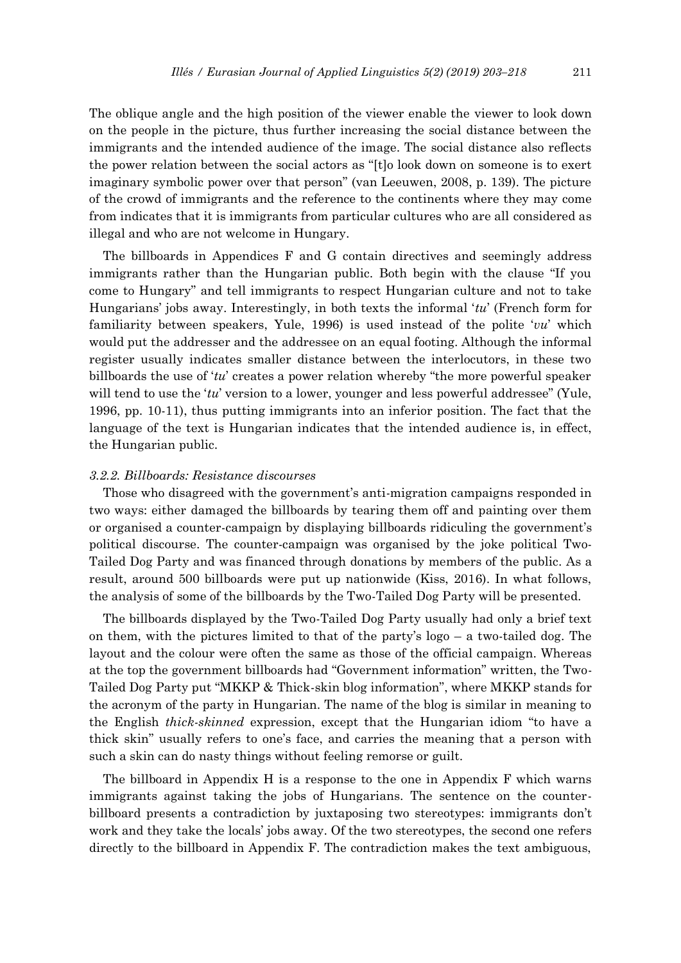The oblique angle and the high position of the viewer enable the viewer to look down on the people in the picture, thus further increasing the social distance between the immigrants and the intended audience of the image. The social distance also reflects the power relation between the social actors as "[t]o look down on someone is to exert imaginary symbolic power over that person" (van Leeuwen, 2008, p. 139). The picture of the crowd of immigrants and the reference to the continents where they may come from indicates that it is immigrants from particular cultures who are all considered as illegal and who are not welcome in Hungary.

The billboards in Appendices F and G contain directives and seemingly address immigrants rather than the Hungarian public. Both begin with the clause "If you come to Hungary" and tell immigrants to respect Hungarian culture and not to take Hungarians' jobs away. Interestingly, in both texts the informal '*tu*' (French form for familiarity between speakers, Yule, 1996) is used instead of the polite '*vu*' which would put the addresser and the addressee on an equal footing. Although the informal register usually indicates smaller distance between the interlocutors, in these two billboards the use of '*tu*' creates a power relation whereby "the more powerful speaker will tend to use the '*tu*' version to a lower, younger and less powerful addressee" (Yule, 1996, pp. 10-11), thus putting immigrants into an inferior position. The fact that the language of the text is Hungarian indicates that the intended audience is, in effect, the Hungarian public.

#### *3.2.2. Billboards: Resistance discourses*

Those who disagreed with the government's anti-migration campaigns responded in two ways: either damaged the billboards by tearing them off and painting over them or organised a counter-campaign by displaying billboards ridiculing the government's political discourse. The counter-campaign was organised by the joke political Two-Tailed Dog Party and was financed through donations by members of the public. As a result, around 500 billboards were put up nationwide (Kiss, 2016). In what follows, the analysis of some of the billboards by the Two-Tailed Dog Party will be presented.

The billboards displayed by the Two-Tailed Dog Party usually had only a brief text on them, with the pictures limited to that of the party's logo – a two-tailed dog. The layout and the colour were often the same as those of the official campaign. Whereas at the top the government billboards had "Government information" written, the Two-Tailed Dog Party put "MKKP & Thick-skin blog information", where MKKP stands for the acronym of the party in Hungarian. The name of the blog is similar in meaning to the English *thick-skinned* expression, except that the Hungarian idiom "to have a thick skin" usually refers to one's face, and carries the meaning that a person with such a skin can do nasty things without feeling remorse or guilt.

The billboard in Appendix H is a response to the one in Appendix F which warns immigrants against taking the jobs of Hungarians. The sentence on the counterbillboard presents a contradiction by juxtaposing two stereotypes: immigrants don't work and they take the locals' jobs away. Of the two stereotypes, the second one refers directly to the billboard in Appendix F. The contradiction makes the text ambiguous,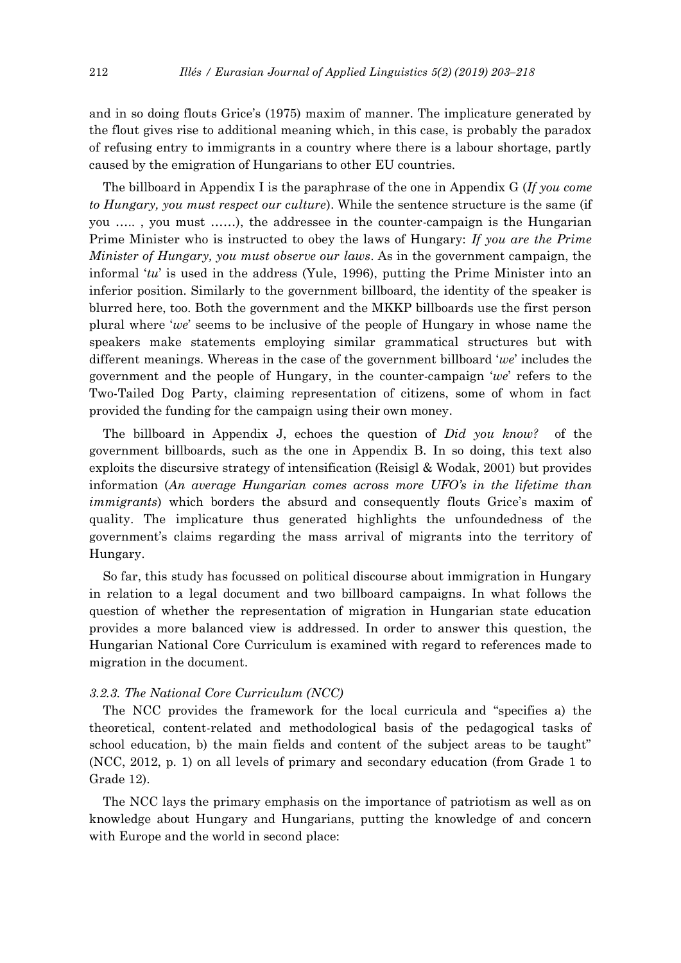and in so doing flouts Grice's (1975) maxim of manner. The implicature generated by the flout gives rise to additional meaning which, in this case, is probably the paradox of refusing entry to immigrants in a country where there is a labour shortage, partly caused by the emigration of Hungarians to other EU countries.

The billboard in Appendix I is the paraphrase of the one in Appendix G (*If you come to Hungary, you must respect our culture*). While the sentence structure is the same (if you ….. , you must ……), the addressee in the counter-campaign is the Hungarian Prime Minister who is instructed to obey the laws of Hungary: *If you are the Prime Minister of Hungary, you must observe our laws*. As in the government campaign, the informal '*tu*' is used in the address (Yule, 1996), putting the Prime Minister into an inferior position. Similarly to the government billboard, the identity of the speaker is blurred here, too. Both the government and the MKKP billboards use the first person plural where '*we*' seems to be inclusive of the people of Hungary in whose name the speakers make statements employing similar grammatical structures but with different meanings. Whereas in the case of the government billboard '*we*' includes the government and the people of Hungary, in the counter-campaign '*we*' refers to the Two-Tailed Dog Party, claiming representation of citizens, some of whom in fact provided the funding for the campaign using their own money.

The billboard in Appendix J, echoes the question of *Did you know?* of the government billboards, such as the one in Appendix B. In so doing, this text also exploits the discursive strategy of intensification (Reisigl & Wodak, 2001) but provides information (*An average Hungarian comes across more UFO's in the lifetime than immigrants*) which borders the absurd and consequently flouts Grice's maxim of quality. The implicature thus generated highlights the unfoundedness of the government's claims regarding the mass arrival of migrants into the territory of Hungary.

So far, this study has focussed on political discourse about immigration in Hungary in relation to a legal document and two billboard campaigns. In what follows the question of whether the representation of migration in Hungarian state education provides a more balanced view is addressed. In order to answer this question, the Hungarian National Core Curriculum is examined with regard to references made to migration in the document.

### *3.2.3. The National Core Curriculum (NCC)*

The NCC provides the framework for the local curricula and "specifies a) the theoretical, content-related and methodological basis of the pedagogical tasks of school education, b) the main fields and content of the subject areas to be taught" (NCC, 2012, p. 1) on all levels of primary and secondary education (from Grade 1 to Grade 12).

The NCC lays the primary emphasis on the importance of patriotism as well as on knowledge about Hungary and Hungarians, putting the knowledge of and concern with Europe and the world in second place: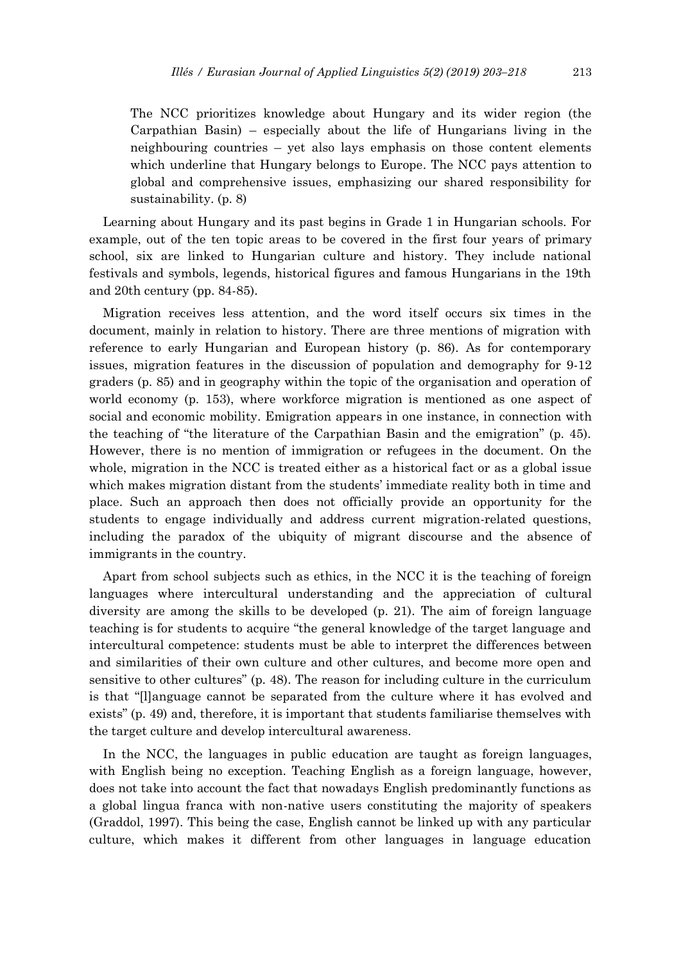The NCC prioritizes knowledge about Hungary and its wider region (the Carpathian Basin) – especially about the life of Hungarians living in the neighbouring countries – yet also lays emphasis on those content elements which underline that Hungary belongs to Europe. The NCC pays attention to global and comprehensive issues, emphasizing our shared responsibility for sustainability. (p. 8)

Learning about Hungary and its past begins in Grade 1 in Hungarian schools. For example, out of the ten topic areas to be covered in the first four years of primary school, six are linked to Hungarian culture and history. They include national festivals and symbols, legends, historical figures and famous Hungarians in the 19th and 20th century (pp. 84-85).

Migration receives less attention, and the word itself occurs six times in the document, mainly in relation to history. There are three mentions of migration with reference to early Hungarian and European history (p. 86). As for contemporary issues, migration features in the discussion of population and demography for 9-12 graders (p. 85) and in geography within the topic of the organisation and operation of world economy (p. 153), where workforce migration is mentioned as one aspect of social and economic mobility. Emigration appears in one instance, in connection with the teaching of "the literature of the Carpathian Basin and the emigration" (p. 45). However, there is no mention of immigration or refugees in the document. On the whole, migration in the NCC is treated either as a historical fact or as a global issue which makes migration distant from the students' immediate reality both in time and place. Such an approach then does not officially provide an opportunity for the students to engage individually and address current migration-related questions, including the paradox of the ubiquity of migrant discourse and the absence of immigrants in the country.

Apart from school subjects such as ethics, in the NCC it is the teaching of foreign languages where intercultural understanding and the appreciation of cultural diversity are among the skills to be developed (p. 21). The aim of foreign language teaching is for students to acquire "the general knowledge of the target language and intercultural competence: students must be able to interpret the differences between and similarities of their own culture and other cultures, and become more open and sensitive to other cultures" (p. 48). The reason for including culture in the curriculum is that "[l]anguage cannot be separated from the culture where it has evolved and exists" (p. 49) and, therefore, it is important that students familiarise themselves with the target culture and develop intercultural awareness.

In the NCC, the languages in public education are taught as foreign languages, with English being no exception. Teaching English as a foreign language, however, does not take into account the fact that nowadays English predominantly functions as a global lingua franca with non-native users constituting the majority of speakers (Graddol, 1997). This being the case, English cannot be linked up with any particular culture, which makes it different from other languages in language education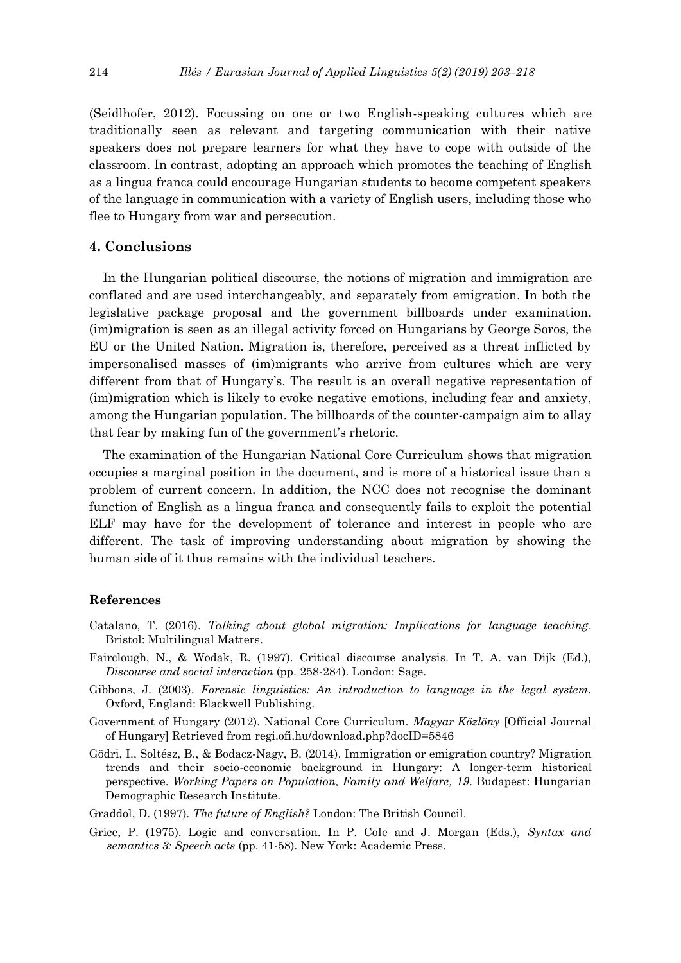(Seidlhofer, 2012). Focussing on one or two English-speaking cultures which are traditionally seen as relevant and targeting communication with their native speakers does not prepare learners for what they have to cope with outside of the classroom. In contrast, adopting an approach which promotes the teaching of English as a lingua franca could encourage Hungarian students to become competent speakers of the language in communication with a variety of English users, including those who flee to Hungary from war and persecution.

### **4. Conclusions**

In the Hungarian political discourse, the notions of migration and immigration are conflated and are used interchangeably, and separately from emigration. In both the legislative package proposal and the government billboards under examination, (im)migration is seen as an illegal activity forced on Hungarians by George Soros, the EU or the United Nation. Migration is, therefore, perceived as a threat inflicted by impersonalised masses of (im)migrants who arrive from cultures which are very different from that of Hungary's. The result is an overall negative representation of (im)migration which is likely to evoke negative emotions, including fear and anxiety, among the Hungarian population. The billboards of the counter-campaign aim to allay that fear by making fun of the government's rhetoric.

The examination of the Hungarian National Core Curriculum shows that migration occupies a marginal position in the document, and is more of a historical issue than a problem of current concern. In addition, the NCC does not recognise the dominant function of English as a lingua franca and consequently fails to exploit the potential ELF may have for the development of tolerance and interest in people who are different. The task of improving understanding about migration by showing the human side of it thus remains with the individual teachers.

#### **References**

- Catalano, T. (2016). *Talking about global migration: Implications for language teaching*. Bristol: Multilingual Matters.
- Fairclough, N., & Wodak, R. (1997). Critical discourse analysis. In T. A. van Dijk (Ed.), *Discourse and social interaction* (pp. 258-284). London: Sage.
- Gibbons, J. (2003). *Forensic linguistics: An introduction to language in the legal system.* Oxford, England: Blackwell Publishing.
- Government of Hungary (2012). National Core Curriculum. *Magyar Közlöny* [Official Journal of Hungary] Retrieved from regi.ofi.hu/download.php?docID=5846
- Gödri, I., Soltész, B., & Bodacz-Nagy, B. (2014). Immigration or emigration country? Migration trends and their socio-economic background in Hungary: A longer-term historical perspective. *Working Papers on Population, Family and Welfare, 19*. Budapest: Hungarian Demographic Research Institute.
- Graddol, D. (1997). *The future of English?* London: The British Council.
- Grice, P. (1975). Logic and conversation. In P. Cole and J. Morgan (Eds.), *Syntax and semantics 3: Speech acts* (pp. 41-58). New York: Academic Press.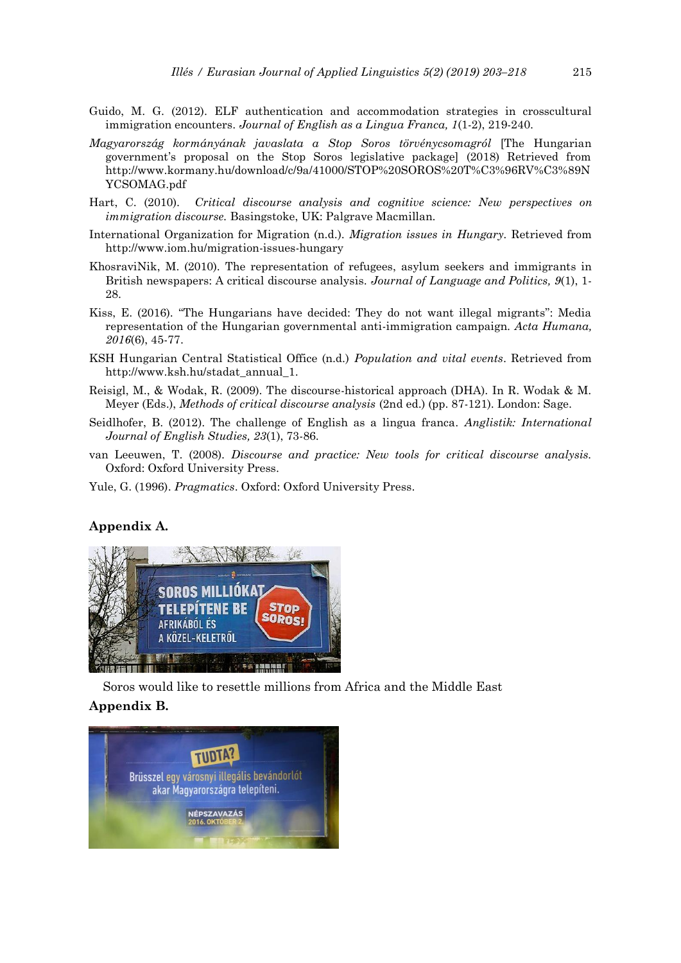- Guido, M. G. (2012). ELF authentication and accommodation strategies in crosscultural immigration encounters. *Journal of English as a Lingua Franca, 1*(1-2), 219-240.
- *Magyarország kormányának javaslata a Stop Soros törvénycsomagról* [The Hungarian government's proposal on the Stop Soros legislative package] (2018) Retrieved from http://www.kormany.hu/download/c/9a/41000/STOP%20SOROS%20T%C3%96RV%C3%89N YCSOMAG.pdf
- Hart, C. (2010). *Critical discourse analysis and cognitive science: New perspectives on immigration discourse.* Basingstoke, UK: Palgrave Macmillan.
- International Organization for Migration (n.d.). *Migration issues in Hungary.* Retrieved from http://www.iom.hu/migration-issues-hungary
- KhosraviNik, M. (2010). The representation of refugees, asylum seekers and immigrants in British newspapers: A critical discourse analysis. *Journal of Language and Politics, 9*(1), 1- 28.
- Kiss, E. (2016). "The Hungarians have decided: They do not want illegal migrants": Media representation of the Hungarian governmental anti-immigration campaign. *Acta Humana, 2016*(6), 45-77.
- KSH Hungarian Central Statistical Office (n.d.) *Population and vital events*. Retrieved from http://www.ksh.hu/stadat\_annual\_1.
- Reisigl, M., & Wodak, R. (2009). The discourse-historical approach (DHA). In R. Wodak & M. Meyer (Eds.), *Methods of critical discourse analysis* (2nd ed.) (pp. 87-121). London: Sage.
- Seidlhofer, B. (2012). The challenge of English as a lingua franca. *Anglistik: International Journal of English Studies, 23*(1), 73-86.
- van Leeuwen, T. (2008). *Discourse and practice: New tools for critical discourse analysis.* Oxford: Oxford University Press.
- Yule, G. (1996). *Pragmatics*. Oxford: Oxford University Press.

## **Appendix A.**



Soros would like to resettle millions from Africa and the Middle East **Appendix B.** 

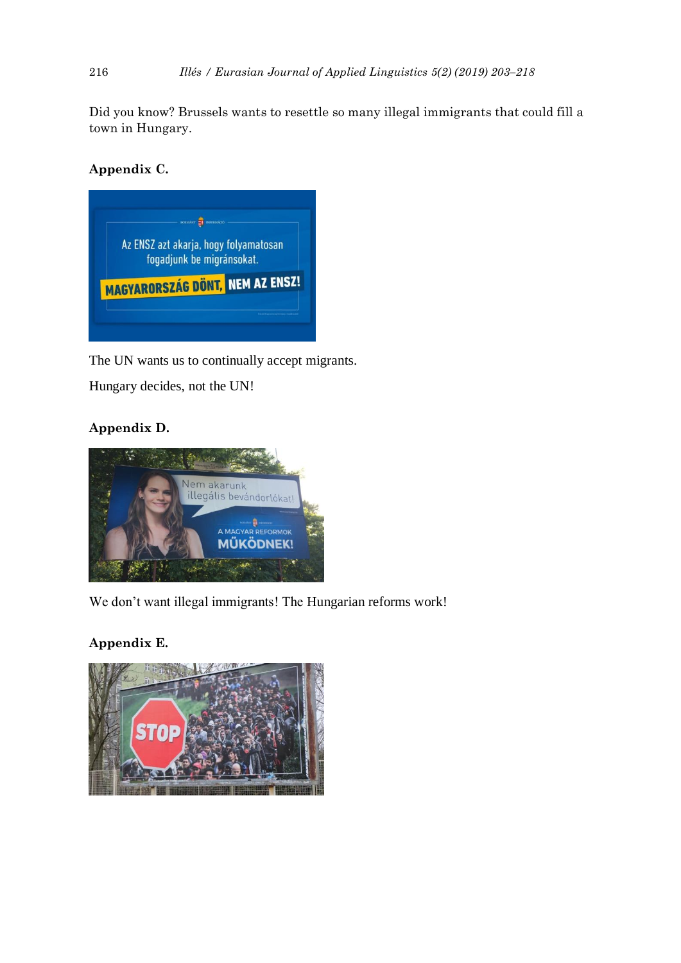Did you know? Brussels wants to resettle so many illegal immigrants that could fill a town in Hungary.

## **Appendix C.**



The UN wants us to continually accept migrants.

Hungary decides, not the UN!

## **Appendix D.**



We don't want illegal immigrants! The Hungarian reforms work!

## **Appendix E.**

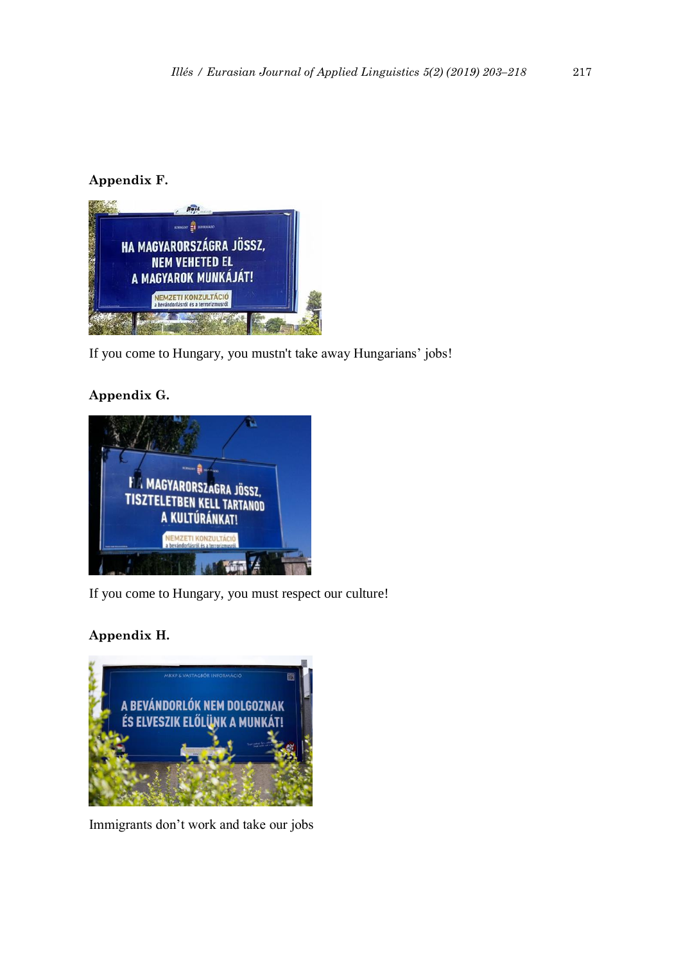## **Appendix F.**



If you come to Hungary, you mustn't take away Hungarians' jobs!

## **Appendix G.**



If you come to Hungary, you must respect our culture!

## **Appendix H.**



Immigrants don't work and take our jobs